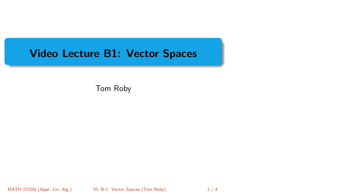# <span id="page-0-0"></span>Video Lecture B1: Vector Spaces

Tom Roby

MATH 2210Q (Appl. Lin. Alg.) **[VL B-1: Vector Spaces](#page-3-0) (Tom Roby)** 1 / 4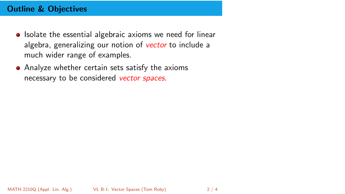## Outline & Objectives

- Isolate the essential algebraic axioms we need for linear algebra, generalizing our notion of vector to include a much wider range of examples.
- Analyze whether certain sets satisfy the axioms necessary to be considered vector spaces.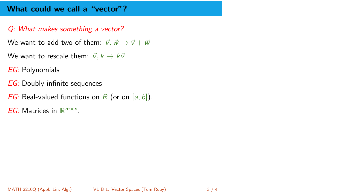#### What could we call a "vector"?

#### Q: What makes something a vector?

We want to add two of them:  $\vec{v}, \vec{w} \rightarrow \vec{v} + \vec{w}$ 

- We want to rescale them:  $\vec{v}$ ,  $k \rightarrow k\vec{v}$ .
- EG: Polynomials
- **EG**: Doubly-infinite sequences
- *EG:* Real-valued functions on R (or on  $[a, b]$ ).
- EG: Matrices in  $\mathbb{R}^{m \times n}$ .